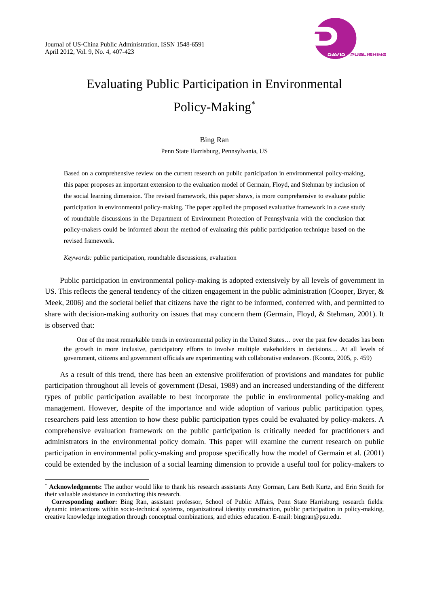

# Evaluating Public Participation in Environmental Policy-Making<sup>∗</sup>

Bing Ran Penn State Harrisburg, Pennsylvania, US

Based on a comprehensive review on the current research on public participation in environmental policy-making, this paper proposes an important extension to the evaluation model of Germain, Floyd, and Stehman by inclusion of the social learning dimension. The revised framework, this paper shows, is more comprehensive to evaluate public participation in environmental policy-making. The paper applied the proposed evaluative framework in a case study of roundtable discussions in the Department of Environment Protection of Pennsylvania with the conclusion that policy-makers could be informed about the method of evaluating this public participation technique based on the revised framework.

*Keywords:* public participation, roundtable discussions, evaluation

 $\overline{a}$ 

Public participation in environmental policy-making is adopted extensively by all levels of government in US. This reflects the general tendency of the citizen engagement in the public administration (Cooper, Bryer, & Meek, 2006) and the societal belief that citizens have the right to be informed, conferred with, and permitted to share with decision-making authority on issues that may concern them (Germain, Floyd, & Stehman, 2001). It is observed that:

One of the most remarkable trends in environmental policy in the United States… over the past few decades has been the growth in more inclusive, participatory efforts to involve multiple stakeholders in decisions… At all levels of government, citizens and government officials are experimenting with collaborative endeavors. (Koontz, 2005, p. 459)

As a result of this trend, there has been an extensive proliferation of provisions and mandates for public participation throughout all levels of government (Desai, 1989) and an increased understanding of the different types of public participation available to best incorporate the public in environmental policy-making and management. However, despite of the importance and wide adoption of various public participation types, researchers paid less attention to how these public participation types could be evaluated by policy-makers. A comprehensive evaluation framework on the public participation is critically needed for practitioners and administrators in the environmental policy domain. This paper will examine the current research on public participation in environmental policy-making and propose specifically how the model of Germain et al. (2001) could be extended by the inclusion of a social learning dimension to provide a useful tool for policy-makers to

<sup>∗</sup> **Acknowledgments:** The author would like to thank his research assistants Amy Gorman, Lara Beth Kurtz, and Erin Smith for their valuable assistance in conducting this research.

**Corresponding author:** Bing Ran, assistant professor, School of Public Affairs, Penn State Harrisburg; research fields: dynamic interactions within socio-technical systems, organizational identity construction, public participation in policy-making, creative knowledge integration through conceptual combinations, and ethics education. E-mail: bingran@psu.edu.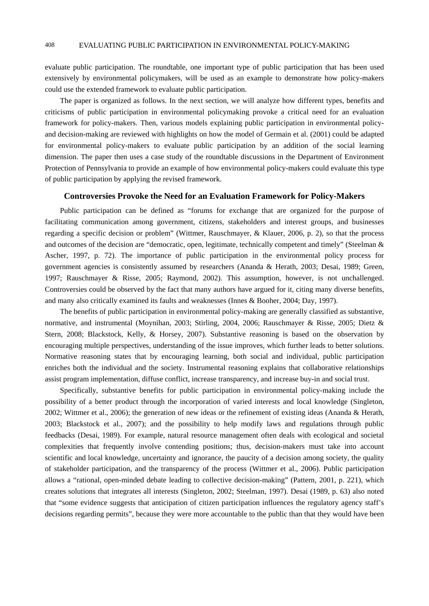evaluate public participation. The roundtable, one important type of public participation that has been used extensively by environmental policymakers, will be used as an example to demonstrate how policy-makers could use the extended framework to evaluate public participation.

The paper is organized as follows. In the next section, we will analyze how different types, benefits and criticisms of public participation in environmental policymaking provoke a critical need for an evaluation framework for policy-makers. Then, various models explaining public participation in environmental policyand decision-making are reviewed with highlights on how the model of Germain et al. (2001) could be adapted for environmental policy-makers to evaluate public participation by an addition of the social learning dimension. The paper then uses a case study of the roundtable discussions in the Department of Environment Protection of Pennsylvania to provide an example of how environmental policy-makers could evaluate this type of public participation by applying the revised framework.

#### **Controversies Provoke the Need for an Evaluation Framework for Policy-Makers**

Public participation can be defined as "forums for exchange that are organized for the purpose of facilitating communication among government, citizens, stakeholders and interest groups, and businesses regarding a specific decision or problem" (Wittmer, Rauschmayer, & Klauer, 2006, p. 2), so that the process and outcomes of the decision are "democratic, open, legitimate, technically competent and timely" (Steelman & Ascher, 1997, p. 72). The importance of public participation in the environmental policy process for government agencies is consistently assumed by researchers (Ananda & Herath, 2003; Desai, 1989; Green, 1997; Rauschmayer & Risse, 2005; Raymond, 2002). This assumption, however, is not unchallenged. Controversies could be observed by the fact that many authors have argued for it, citing many diverse benefits, and many also critically examined its faults and weaknesses (Innes & Booher, 2004; Day, 1997).

The benefits of public participation in environmental policy-making are generally classified as substantive, normative, and instrumental (Moynihan, 2003; Stirling, 2004, 2006; Rauschmayer & Risse, 2005; Dietz & Stern, 2008; Blackstock, Kelly, & Horsey, 2007). Substantive reasoning is based on the observation by encouraging multiple perspectives, understanding of the issue improves, which further leads to better solutions. Normative reasoning states that by encouraging learning, both social and individual, public participation enriches both the individual and the society. Instrumental reasoning explains that collaborative relationships assist program implementation, diffuse conflict, increase transparency, and increase buy-in and social trust.

Specifically, substantive benefits for public participation in environmental policy-making include the possibility of a better product through the incorporation of varied interests and local knowledge (Singleton, 2002; Wittmer et al., 2006); the generation of new ideas or the refinement of existing ideas (Ananda & Herath, 2003; Blackstock et al., 2007); and the possibility to help modify laws and regulations through public feedbacks (Desai, 1989). For example, natural resource management often deals with ecological and societal complexities that frequently involve contending positions; thus, decision-makers must take into account scientific and local knowledge, uncertainty and ignorance, the paucity of a decision among society, the quality of stakeholder participation, and the transparency of the process (Wittmer et al., 2006). Public participation allows a "rational, open-minded debate leading to collective decision-making" (Pattern, 2001, p. 221), which creates solutions that integrates all interests (Singleton, 2002; Steelman, 1997). Desai (1989, p. 63) also noted that "some evidence suggests that anticipation of citizen participation influences the regulatory agency staff's decisions regarding permits", because they were more accountable to the public than that they would have been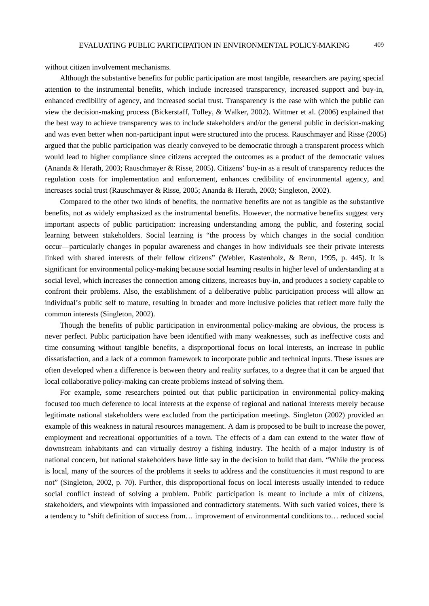without citizen involvement mechanisms.

Although the substantive benefits for public participation are most tangible, researchers are paying special attention to the instrumental benefits, which include increased transparency, increased support and buy-in, enhanced credibility of agency, and increased social trust. Transparency is the ease with which the public can view the decision-making process (Bickerstaff, Tolley, & Walker, 2002). Wittmer et al. (2006) explained that the best way to achieve transparency was to include stakeholders and/or the general public in decision-making and was even better when non-participant input were structured into the process. Rauschmayer and Risse (2005) argued that the public participation was clearly conveyed to be democratic through a transparent process which would lead to higher compliance since citizens accepted the outcomes as a product of the democratic values (Ananda & Herath, 2003; Rauschmayer & Risse, 2005). Citizens' buy-in as a result of transparency reduces the regulation costs for implementation and enforcement, enhances credibility of environmental agency, and increases social trust (Rauschmayer & Risse, 2005; Ananda & Herath, 2003; Singleton, 2002).

Compared to the other two kinds of benefits, the normative benefits are not as tangible as the substantive benefits, not as widely emphasized as the instrumental benefits. However, the normative benefits suggest very important aspects of public participation: increasing understanding among the public, and fostering social learning between stakeholders. Social learning is "the process by which changes in the social condition occur—particularly changes in popular awareness and changes in how individuals see their private interests linked with shared interests of their fellow citizens" (Webler, Kastenholz, & Renn, 1995, p. 445). It is significant for environmental policy-making because social learning results in higher level of understanding at a social level, which increases the connection among citizens, increases buy-in, and produces a society capable to confront their problems. Also, the establishment of a deliberative public participation process will allow an individual's public self to mature, resulting in broader and more inclusive policies that reflect more fully the common interests (Singleton, 2002).

Though the benefits of public participation in environmental policy-making are obvious, the process is never perfect. Public participation have been identified with many weaknesses, such as ineffective costs and time consuming without tangible benefits, a disproportional focus on local interests, an increase in public dissatisfaction, and a lack of a common framework to incorporate public and technical inputs. These issues are often developed when a difference is between theory and reality surfaces, to a degree that it can be argued that local collaborative policy-making can create problems instead of solving them.

For example, some researchers pointed out that public participation in environmental policy-making focused too much deference to local interests at the expense of regional and national interests merely because legitimate national stakeholders were excluded from the participation meetings. Singleton (2002) provided an example of this weakness in natural resources management. A dam is proposed to be built to increase the power, employment and recreational opportunities of a town. The effects of a dam can extend to the water flow of downstream inhabitants and can virtually destroy a fishing industry. The health of a major industry is of national concern, but national stakeholders have little say in the decision to build that dam. "While the process is local, many of the sources of the problems it seeks to address and the constituencies it must respond to are not" (Singleton, 2002, p. 70). Further, this disproportional focus on local interests usually intended to reduce social conflict instead of solving a problem. Public participation is meant to include a mix of citizens, stakeholders, and viewpoints with impassioned and contradictory statements. With such varied voices, there is a tendency to "shift definition of success from… improvement of environmental conditions to… reduced social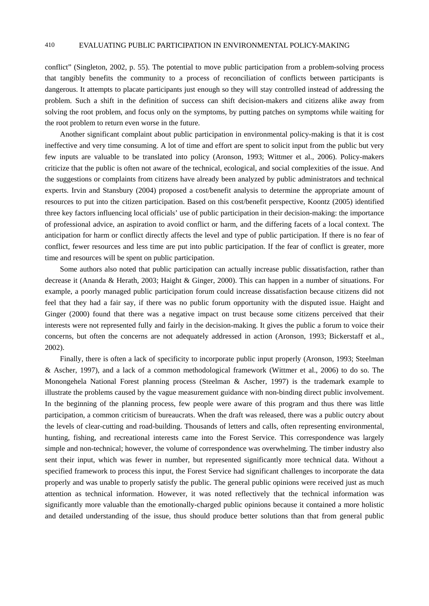conflict" (Singleton, 2002, p. 55). The potential to move public participation from a problem-solving process that tangibly benefits the community to a process of reconciliation of conflicts between participants is dangerous. It attempts to placate participants just enough so they will stay controlled instead of addressing the problem. Such a shift in the definition of success can shift decision-makers and citizens alike away from solving the root problem, and focus only on the symptoms, by putting patches on symptoms while waiting for the root problem to return even worse in the future.

Another significant complaint about public participation in environmental policy-making is that it is cost ineffective and very time consuming. A lot of time and effort are spent to solicit input from the public but very few inputs are valuable to be translated into policy (Aronson, 1993; Wittmer et al., 2006). Policy-makers criticize that the public is often not aware of the technical, ecological, and social complexities of the issue. And the suggestions or complaints from citizens have already been analyzed by public administrators and technical experts. Irvin and Stansbury (2004) proposed a cost/benefit analysis to determine the appropriate amount of resources to put into the citizen participation. Based on this cost/benefit perspective, Koontz (2005) identified three key factors influencing local officials' use of public participation in their decision-making: the importance of professional advice, an aspiration to avoid conflict or harm, and the differing facets of a local context. The anticipation for harm or conflict directly affects the level and type of public participation. If there is no fear of conflict, fewer resources and less time are put into public participation. If the fear of conflict is greater, more time and resources will be spent on public participation.

Some authors also noted that public participation can actually increase public dissatisfaction, rather than decrease it (Ananda & Herath, 2003; Haight & Ginger, 2000). This can happen in a number of situations. For example, a poorly managed public participation forum could increase dissatisfaction because citizens did not feel that they had a fair say, if there was no public forum opportunity with the disputed issue. Haight and Ginger (2000) found that there was a negative impact on trust because some citizens perceived that their interests were not represented fully and fairly in the decision-making. It gives the public a forum to voice their concerns, but often the concerns are not adequately addressed in action (Aronson, 1993; Bickerstaff et al., 2002).

Finally, there is often a lack of specificity to incorporate public input properly (Aronson, 1993; Steelman & Ascher, 1997), and a lack of a common methodological framework (Wittmer et al., 2006) to do so. The Monongehela National Forest planning process (Steelman & Ascher, 1997) is the trademark example to illustrate the problems caused by the vague measurement guidance with non-binding direct public involvement. In the beginning of the planning process, few people were aware of this program and thus there was little participation, a common criticism of bureaucrats. When the draft was released, there was a public outcry about the levels of clear-cutting and road-building. Thousands of letters and calls, often representing environmental, hunting, fishing, and recreational interests came into the Forest Service. This correspondence was largely simple and non-technical; however, the volume of correspondence was overwhelming. The timber industry also sent their input, which was fewer in number, but represented significantly more technical data. Without a specified framework to process this input, the Forest Service had significant challenges to incorporate the data properly and was unable to properly satisfy the public. The general public opinions were received just as much attention as technical information. However, it was noted reflectively that the technical information was significantly more valuable than the emotionally-charged public opinions because it contained a more holistic and detailed understanding of the issue, thus should produce better solutions than that from general public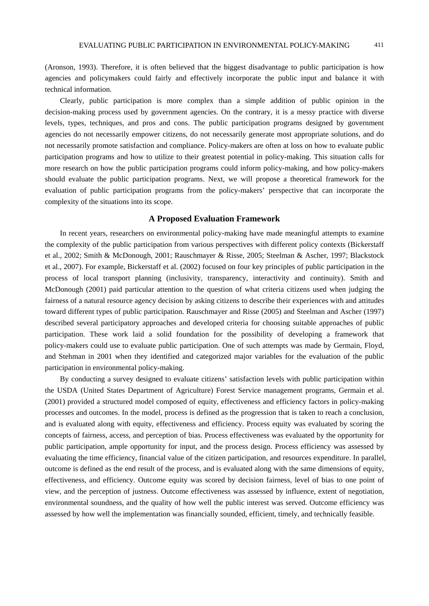(Aronson, 1993). Therefore, it is often believed that the biggest disadvantage to public participation is how agencies and policymakers could fairly and effectively incorporate the public input and balance it with technical information.

Clearly, public participation is more complex than a simple addition of public opinion in the decision-making process used by government agencies. On the contrary, it is a messy practice with diverse levels, types, techniques, and pros and cons. The public participation programs designed by government agencies do not necessarily empower citizens, do not necessarily generate most appropriate solutions, and do not necessarily promote satisfaction and compliance. Policy-makers are often at loss on how to evaluate public participation programs and how to utilize to their greatest potential in policy-making. This situation calls for more research on how the public participation programs could inform policy-making, and how policy-makers should evaluate the public participation programs. Next, we will propose a theoretical framework for the evaluation of public participation programs from the policy-makers' perspective that can incorporate the complexity of the situations into its scope.

#### **A Proposed Evaluation Framework**

In recent years, researchers on environmental policy-making have made meaningful attempts to examine the complexity of the public participation from various perspectives with different policy contexts (Bickerstaff et al., 2002; Smith & McDonough, 2001; Rauschmayer & Risse, 2005; Steelman & Ascher, 1997; Blackstock et al., 2007). For example, Bickerstaff et al. (2002) focused on four key principles of public participation in the process of local transport planning (inclusivity, transparency, interactivity and continuity). Smith and McDonough (2001) paid particular attention to the question of what criteria citizens used when judging the fairness of a natural resource agency decision by asking citizens to describe their experiences with and attitudes toward different types of public participation. Rauschmayer and Risse (2005) and Steelman and Ascher (1997) described several participatory approaches and developed criteria for choosing suitable approaches of public participation. These work laid a solid foundation for the possibility of developing a framework that policy-makers could use to evaluate public participation. One of such attempts was made by Germain, Floyd, and Stehman in 2001 when they identified and categorized major variables for the evaluation of the public participation in environmental policy-making.

By conducting a survey designed to evaluate citizens' satisfaction levels with public participation within the USDA (United States Department of Agriculture) Forest Service management programs, Germain et al. (2001) provided a structured model composed of equity, effectiveness and efficiency factors in policy-making processes and outcomes. In the model, process is defined as the progression that is taken to reach a conclusion, and is evaluated along with equity, effectiveness and efficiency. Process equity was evaluated by scoring the concepts of fairness, access, and perception of bias. Process effectiveness was evaluated by the opportunity for public participation, ample opportunity for input, and the process design. Process efficiency was assessed by evaluating the time efficiency, financial value of the citizen participation, and resources expenditure. In parallel, outcome is defined as the end result of the process, and is evaluated along with the same dimensions of equity, effectiveness, and efficiency. Outcome equity was scored by decision fairness, level of bias to one point of view, and the perception of justness. Outcome effectiveness was assessed by influence, extent of negotiation, environmental soundness, and the quality of how well the public interest was served. Outcome efficiency was assessed by how well the implementation was financially sounded, efficient, timely, and technically feasible.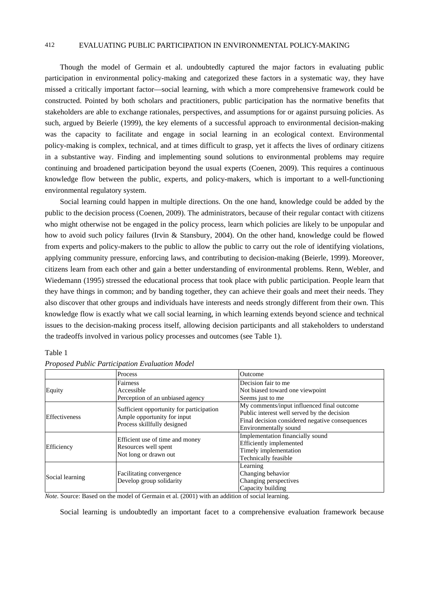Though the model of Germain et al. undoubtedly captured the major factors in evaluating public participation in environmental policy-making and categorized these factors in a systematic way, they have missed a critically important factor—social learning, with which a more comprehensive framework could be constructed. Pointed by both scholars and practitioners, public participation has the normative benefits that stakeholders are able to exchange rationales, perspectives, and assumptions for or against pursuing policies. As such, argued by Beierle (1999), the key elements of a successful approach to environmental decision-making was the capacity to facilitate and engage in social learning in an ecological context. Environmental policy-making is complex, technical, and at times difficult to grasp, yet it affects the lives of ordinary citizens in a substantive way. Finding and implementing sound solutions to environmental problems may require continuing and broadened participation beyond the usual experts (Coenen, 2009). This requires a continuous knowledge flow between the public, experts, and policy-makers, which is important to a well-functioning environmental regulatory system.

Social learning could happen in multiple directions. On the one hand, knowledge could be added by the public to the decision process (Coenen, 2009). The administrators, because of their regular contact with citizens who might otherwise not be engaged in the policy process, learn which policies are likely to be unpopular and how to avoid such policy failures (Irvin & Stansbury, 2004). On the other hand, knowledge could be flowed from experts and policy-makers to the public to allow the public to carry out the role of identifying violations, applying community pressure, enforcing laws, and contributing to decision-making (Beierle, 1999). Moreover, citizens learn from each other and gain a better understanding of environmental problems. Renn, Webler, and Wiedemann (1995) stressed the educational process that took place with public participation. People learn that they have things in common; and by banding together, they can achieve their goals and meet their needs. They also discover that other groups and individuals have interests and needs strongly different from their own. This knowledge flow is exactly what we call social learning, in which learning extends beyond science and technical issues to the decision-making process itself, allowing decision participants and all stakeholders to understand the tradeoffs involved in various policy processes and outcomes (see Table 1).

#### Table 1

|                      | Process                                                                                                | Outcome                                         |  |
|----------------------|--------------------------------------------------------------------------------------------------------|-------------------------------------------------|--|
|                      | <b>Fairness</b>                                                                                        | Decision fair to me                             |  |
| Equity               | Accessible                                                                                             | Not biased toward one viewpoint                 |  |
|                      | Perception of an unbiased agency                                                                       | Seems just to me                                |  |
| <b>Effectiveness</b> | Sufficient opportunity for participation<br>Ample opportunity for input<br>Process skillfully designed | My comments/input influenced final outcome      |  |
|                      |                                                                                                        | Public interest well served by the decision     |  |
|                      |                                                                                                        | Final decision considered negative consequences |  |
|                      |                                                                                                        | Environmentally sound                           |  |
| Efficiency           | Efficient use of time and money<br>Resources well spent<br>Not long or drawn out                       | Implementation financially sound                |  |
|                      |                                                                                                        | <b>Efficiently</b> implemented                  |  |
|                      |                                                                                                        | Timely implementation                           |  |
|                      |                                                                                                        | Technically feasible                            |  |
| Social learning      |                                                                                                        | Learning                                        |  |
|                      | Facilitating convergence                                                                               | Changing behavior                               |  |
|                      | Develop group solidarity                                                                               | Changing perspectives                           |  |
|                      |                                                                                                        | Capacity building                               |  |

#### *Proposed Public Participation Evaluation Model*

*Note.* Source: Based on the model of Germain et al. (2001) with an addition of social learning.

Social learning is undoubtedly an important facet to a comprehensive evaluation framework because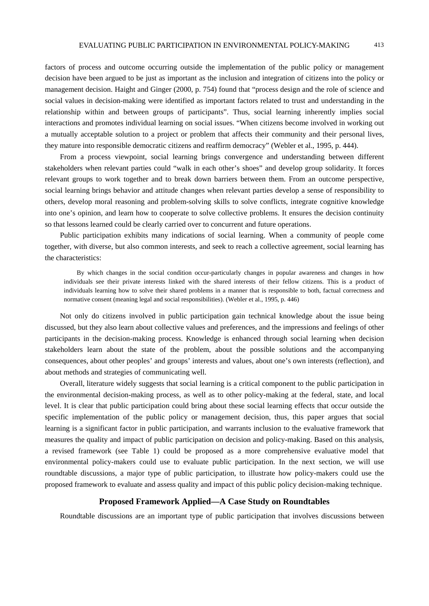factors of process and outcome occurring outside the implementation of the public policy or management decision have been argued to be just as important as the inclusion and integration of citizens into the policy or management decision. Haight and Ginger (2000, p. 754) found that "process design and the role of science and social values in decision-making were identified as important factors related to trust and understanding in the relationship within and between groups of participants". Thus, social learning inherently implies social interactions and promotes individual learning on social issues. "When citizens become involved in working out a mutually acceptable solution to a project or problem that affects their community and their personal lives, they mature into responsible democratic citizens and reaffirm democracy" (Webler et al., 1995, p. 444).

From a process viewpoint, social learning brings convergence and understanding between different stakeholders when relevant parties could "walk in each other's shoes" and develop group solidarity. It forces relevant groups to work together and to break down barriers between them. From an outcome perspective, social learning brings behavior and attitude changes when relevant parties develop a sense of responsibility to others, develop moral reasoning and problem-solving skills to solve conflicts, integrate cognitive knowledge into one's opinion, and learn how to cooperate to solve collective problems. It ensures the decision continuity so that lessons learned could be clearly carried over to concurrent and future operations.

Public participation exhibits many indications of social learning. When a community of people come together, with diverse, but also common interests, and seek to reach a collective agreement, social learning has the characteristics:

By which changes in the social condition occur-particularly changes in popular awareness and changes in how individuals see their private interests linked with the shared interests of their fellow citizens. This is a product of individuals learning how to solve their shared problems in a manner that is responsible to both, factual correctness and normative consent (meaning legal and social responsibilities). (Webler et al., 1995, p. 446)

Not only do citizens involved in public participation gain technical knowledge about the issue being discussed, but they also learn about collective values and preferences, and the impressions and feelings of other participants in the decision-making process. Knowledge is enhanced through social learning when decision stakeholders learn about the state of the problem, about the possible solutions and the accompanying consequences, about other peoples' and groups' interests and values, about one's own interests (reflection), and about methods and strategies of communicating well.

Overall, literature widely suggests that social learning is a critical component to the public participation in the environmental decision-making process, as well as to other policy-making at the federal, state, and local level. It is clear that public participation could bring about these social learning effects that occur outside the specific implementation of the public policy or management decision, thus, this paper argues that social learning is a significant factor in public participation, and warrants inclusion to the evaluative framework that measures the quality and impact of public participation on decision and policy-making. Based on this analysis, a revised framework (see Table 1) could be proposed as a more comprehensive evaluative model that environmental policy-makers could use to evaluate public participation. In the next section, we will use roundtable discussions, a major type of public participation, to illustrate how policy-makers could use the proposed framework to evaluate and assess quality and impact of this public policy decision-making technique.

### **Proposed Framework Applied—A Case Study on Roundtables**

Roundtable discussions are an important type of public participation that involves discussions between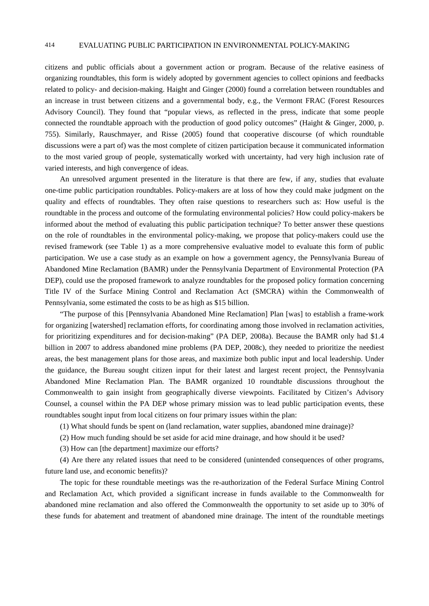citizens and public officials about a government action or program. Because of the relative easiness of organizing roundtables, this form is widely adopted by government agencies to collect opinions and feedbacks related to policy- and decision-making. Haight and Ginger (2000) found a correlation between roundtables and an increase in trust between citizens and a governmental body, e.g., the Vermont FRAC (Forest Resources Advisory Council). They found that "popular views, as reflected in the press, indicate that some people connected the roundtable approach with the production of good policy outcomes" (Haight & Ginger, 2000, p. 755). Similarly, Rauschmayer, and Risse (2005) found that cooperative discourse (of which roundtable discussions were a part of) was the most complete of citizen participation because it communicated information to the most varied group of people, systematically worked with uncertainty, had very high inclusion rate of varied interests, and high convergence of ideas.

An unresolved argument presented in the literature is that there are few, if any, studies that evaluate one-time public participation roundtables. Policy-makers are at loss of how they could make judgment on the quality and effects of roundtables. They often raise questions to researchers such as: How useful is the roundtable in the process and outcome of the formulating environmental policies? How could policy-makers be informed about the method of evaluating this public participation technique? To better answer these questions on the role of roundtables in the environmental policy-making, we propose that policy-makers could use the revised framework (see Table 1) as a more comprehensive evaluative model to evaluate this form of public participation. We use a case study as an example on how a government agency, the Pennsylvania Bureau of Abandoned Mine Reclamation (BAMR) under the Pennsylvania Department of Environmental Protection (PA DEP), could use the proposed framework to analyze roundtables for the proposed policy formation concerning Title IV of the Surface Mining Control and Reclamation Act (SMCRA) within the Commonwealth of Pennsylvania, some estimated the costs to be as high as \$15 billion.

"The purpose of this [Pennsylvania Abandoned Mine Reclamation] Plan [was] to establish a frame-work for organizing [watershed] reclamation efforts, for coordinating among those involved in reclamation activities, for prioritizing expenditures and for decision-making" (PA DEP, 2008a). Because the BAMR only had \$1.4 billion in 2007 to address abandoned mine problems (PA DEP, 2008c), they needed to prioritize the neediest areas, the best management plans for those areas, and maximize both public input and local leadership. Under the guidance, the Bureau sought citizen input for their latest and largest recent project, the Pennsylvania Abandoned Mine Reclamation Plan. The BAMR organized 10 roundtable discussions throughout the Commonwealth to gain insight from geographically diverse viewpoints. Facilitated by Citizen's Advisory Counsel, a counsel within the PA DEP whose primary mission was to lead public participation events, these roundtables sought input from local citizens on four primary issues within the plan:

(1) What should funds be spent on (land reclamation, water supplies, abandoned mine drainage)?

(2) How much funding should be set aside for acid mine drainage, and how should it be used?

(3) How can [the department] maximize our efforts?

(4) Are there any related issues that need to be considered (unintended consequences of other programs, future land use, and economic benefits)?

The topic for these roundtable meetings was the re-authorization of the Federal Surface Mining Control and Reclamation Act, which provided a significant increase in funds available to the Commonwealth for abandoned mine reclamation and also offered the Commonwealth the opportunity to set aside up to 30% of these funds for abatement and treatment of abandoned mine drainage. The intent of the roundtable meetings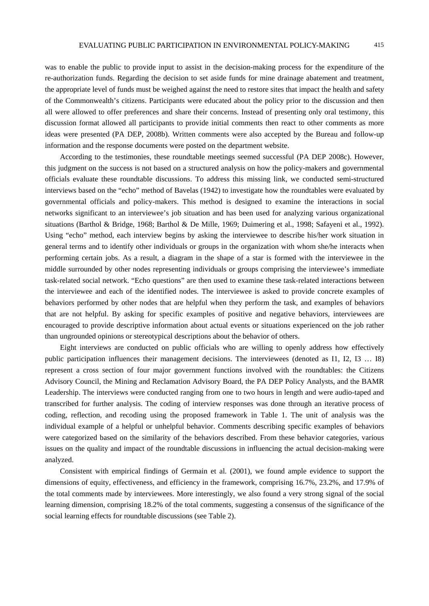was to enable the public to provide input to assist in the decision-making process for the expenditure of the re-authorization funds. Regarding the decision to set aside funds for mine drainage abatement and treatment, the appropriate level of funds must be weighed against the need to restore sites that impact the health and safety of the Commonwealth's citizens. Participants were educated about the policy prior to the discussion and then all were allowed to offer preferences and share their concerns. Instead of presenting only oral testimony, this discussion format allowed all participants to provide initial comments then react to other comments as more ideas were presented (PA DEP, 2008b). Written comments were also accepted by the Bureau and follow-up information and the response documents were posted on the department website.

According to the testimonies, these roundtable meetings seemed successful (PA DEP 2008c). However, this judgment on the success is not based on a structured analysis on how the policy-makers and governmental officials evaluate these roundtable discussions. To address this missing link, we conducted semi-structured interviews based on the "echo" method of Bavelas (1942) to investigate how the roundtables were evaluated by governmental officials and policy-makers. This method is designed to examine the interactions in social networks significant to an interviewee's job situation and has been used for analyzing various organizational situations (Barthol & Bridge, 1968; Barthol & De Mille, 1969; Duimering et al., 1998; Safayeni et al., 1992). Using "echo" method, each interview begins by asking the interviewee to describe his/her work situation in general terms and to identify other individuals or groups in the organization with whom she/he interacts when performing certain jobs. As a result, a diagram in the shape of a star is formed with the interviewee in the middle surrounded by other nodes representing individuals or groups comprising the interviewee's immediate task-related social network. "Echo questions" are then used to examine these task-related interactions between the interviewee and each of the identified nodes. The interviewee is asked to provide concrete examples of behaviors performed by other nodes that are helpful when they perform the task, and examples of behaviors that are not helpful. By asking for specific examples of positive and negative behaviors, interviewees are encouraged to provide descriptive information about actual events or situations experienced on the job rather than ungrounded opinions or stereotypical descriptions about the behavior of others.

Eight interviews are conducted on public officials who are willing to openly address how effectively public participation influences their management decisions. The interviewees (denoted as I1, I2, I3 … I8) represent a cross section of four major government functions involved with the roundtables: the Citizens Advisory Council, the Mining and Reclamation Advisory Board, the PA DEP Policy Analysts, and the BAMR Leadership. The interviews were conducted ranging from one to two hours in length and were audio-taped and transcribed for further analysis. The coding of interview responses was done through an iterative process of coding, reflection, and recoding using the proposed framework in Table 1. The unit of analysis was the individual example of a helpful or unhelpful behavior. Comments describing specific examples of behaviors were categorized based on the similarity of the behaviors described. From these behavior categories, various issues on the quality and impact of the roundtable discussions in influencing the actual decision-making were analyzed.

Consistent with empirical findings of Germain et al. (2001), we found ample evidence to support the dimensions of equity, effectiveness, and efficiency in the framework, comprising 16.7%, 23.2%, and 17.9% of the total comments made by interviewees. More interestingly, we also found a very strong signal of the social learning dimension, comprising 18.2% of the total comments, suggesting a consensus of the significance of the social learning effects for roundtable discussions (see Table 2).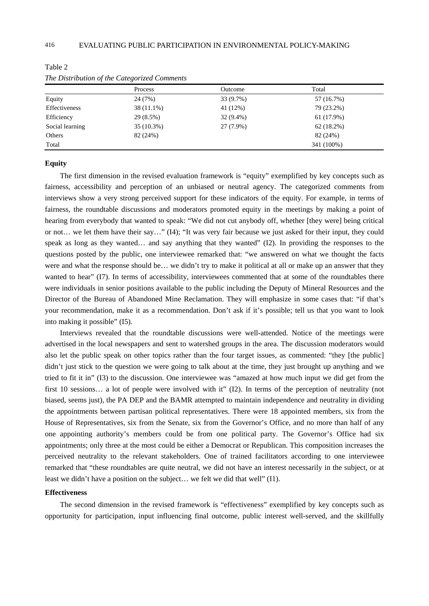|                 | Process    | Outcome     | Total        |  |
|-----------------|------------|-------------|--------------|--|
| Equity          | 24 (7%)    | 33 (9.7%)   | 57 (16.7%)   |  |
| Effectiveness   | 38 (11.1%) | 41 (12%)    | 79 (23.2%)   |  |
| Efficiency      | 29 (8.5%)  | $32(9.4\%)$ | 61 (17.9%)   |  |
| Social learning | 35 (10.3%) | 27 (7.9%)   | $62(18.2\%)$ |  |
| Others          | 82 (24%)   |             | 82 (24%)     |  |
| Total           |            |             | 341 (100%)   |  |

Table 2

|               | Process    | Outcome     | Total      |
|---------------|------------|-------------|------------|
| uity          | 24 (7%)    | 33 (9.7%)   | 57 (16.7%) |
| fectiveness   | 38 (11.1%) | 41 (12%)    | 79 (23.2%) |
| iciency       | 29 (8.5%)  | $32(9.4\%)$ | 61 (17.9%) |
| cial learning | 35 (10.3%) | 27 (7.9%)   | 62(18.2%)  |
| hers          | 82 (24%)   |             | 82 (24%)   |
| tal           |            |             | 341 (100%) |

*The Distribution of the Categorized Comments* 

### **Equity**

The first dimension in the revised evaluation framework is "equity" exemplified by key concepts such as fairness, accessibility and perception of an unbiased or neutral agency. The categorized comments from interviews show a very strong perceived support for these indicators of the equity. For example, in terms of fairness, the roundtable discussions and moderators promoted equity in the meetings by making a point of hearing from everybody that wanted to speak: "We did not cut anybody off, whether [they were] being critical or not… we let them have their say…" (I4); "It was very fair because we just asked for their input, they could speak as long as they wanted… and say anything that they wanted" (I2). In providing the responses to the questions posted by the public, one interviewee remarked that: "we answered on what we thought the facts were and what the response should be… we didn't try to make it political at all or make up an answer that they wanted to hear" (I7). In terms of accessibility, interviewees commented that at some of the roundtables there were individuals in senior positions available to the public including the Deputy of Mineral Resources and the Director of the Bureau of Abandoned Mine Reclamation. They will emphasize in some cases that: "if that's your recommendation, make it as a recommendation. Don't ask if it's possible; tell us that you want to look into making it possible" (I5).

Interviews revealed that the roundtable discussions were well-attended. Notice of the meetings were advertised in the local newspapers and sent to watershed groups in the area. The discussion moderators would also let the public speak on other topics rather than the four target issues, as commented: "they [the public] didn't just stick to the question we were going to talk about at the time, they just brought up anything and we tried to fit it in" (I3) to the discussion. One interviewee was "amazed at how much input we did get from the first 10 sessions... a lot of people were involved with it" (I2). In terms of the perception of neutrality (not biased, seems just), the PA DEP and the BAMR attempted to maintain independence and neutrality in dividing the appointments between partisan political representatives. There were 18 appointed members, six from the House of Representatives, six from the Senate, six from the Governor's Office, and no more than half of any one appointing authority's members could be from one political party. The Governor's Office had six appointments; only three at the most could be either a Democrat or Republican. This composition increases the perceived neutrality to the relevant stakeholders. One of trained facilitators according to one interviewee remarked that "these roundtables are quite neutral, we did not have an interest necessarily in the subject, or at least we didn't have a position on the subject… we felt we did that well" (I1).

#### **Effectiveness**

The second dimension in the revised framework is "effectiveness" exemplified by key concepts such as opportunity for participation, input influencing final outcome, public interest well-served, and the skillfully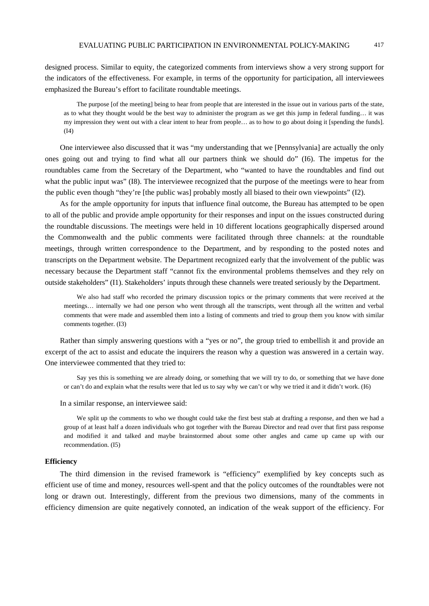designed process. Similar to equity, the categorized comments from interviews show a very strong support for the indicators of the effectiveness. For example, in terms of the opportunity for participation, all interviewees emphasized the Bureau's effort to facilitate roundtable meetings.

The purpose [of the meeting] being to hear from people that are interested in the issue out in various parts of the state, as to what they thought would be the best way to administer the program as we get this jump in federal funding… it was my impression they went out with a clear intent to hear from people… as to how to go about doing it [spending the funds]. (I4)

One interviewee also discussed that it was "my understanding that we [Pennsylvania] are actually the only ones going out and trying to find what all our partners think we should do" (I6). The impetus for the roundtables came from the Secretary of the Department, who "wanted to have the roundtables and find out what the public input was" (I8). The interviewee recognized that the purpose of the meetings were to hear from the public even though "they're [the public was] probably mostly all biased to their own viewpoints" (I2).

As for the ample opportunity for inputs that influence final outcome, the Bureau has attempted to be open to all of the public and provide ample opportunity for their responses and input on the issues constructed during the roundtable discussions. The meetings were held in 10 different locations geographically dispersed around the Commonwealth and the public comments were facilitated through three channels: at the roundtable meetings, through written correspondence to the Department, and by responding to the posted notes and transcripts on the Department website. The Department recognized early that the involvement of the public was necessary because the Department staff "cannot fix the environmental problems themselves and they rely on outside stakeholders" (I1). Stakeholders' inputs through these channels were treated seriously by the Department.

We also had staff who recorded the primary discussion topics or the primary comments that were received at the meetings… internally we had one person who went through all the transcripts, went through all the written and verbal comments that were made and assembled them into a listing of comments and tried to group them you know with similar comments together. (I3)

Rather than simply answering questions with a "yes or no", the group tried to embellish it and provide an excerpt of the act to assist and educate the inquirers the reason why a question was answered in a certain way. One interviewee commented that they tried to:

Say yes this is something we are already doing, or something that we will try to do, or something that we have done or can't do and explain what the results were that led us to say why we can't or why we tried it and it didn't work. (I6)

In a similar response, an interviewee said:

We split up the comments to who we thought could take the first best stab at drafting a response, and then we had a group of at least half a dozen individuals who got together with the Bureau Director and read over that first pass response and modified it and talked and maybe brainstormed about some other angles and came up came up with our recommendation. (I5)

#### **Efficiency**

The third dimension in the revised framework is "efficiency" exemplified by key concepts such as efficient use of time and money, resources well-spent and that the policy outcomes of the roundtables were not long or drawn out. Interestingly, different from the previous two dimensions, many of the comments in efficiency dimension are quite negatively connoted, an indication of the weak support of the efficiency. For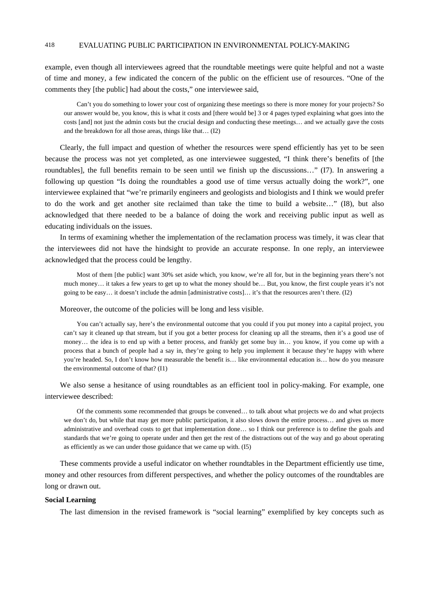example, even though all interviewees agreed that the roundtable meetings were quite helpful and not a waste of time and money, a few indicated the concern of the public on the efficient use of resources. "One of the comments they [the public] had about the costs," one interviewee said,

Can't you do something to lower your cost of organizing these meetings so there is more money for your projects? So our answer would be, you know, this is what it costs and [there would be] 3 or 4 pages typed explaining what goes into the costs [and] not just the admin costs but the crucial design and conducting these meetings… and we actually gave the costs and the breakdown for all those areas, things like that… (I2)

Clearly, the full impact and question of whether the resources were spend efficiently has yet to be seen because the process was not yet completed, as one interviewee suggested, "I think there's benefits of [the roundtables], the full benefits remain to be seen until we finish up the discussions…" (I7). In answering a following up question "Is doing the roundtables a good use of time versus actually doing the work?", one interviewee explained that "we're primarily engineers and geologists and biologists and I think we would prefer to do the work and get another site reclaimed than take the time to build a website…" (I8), but also acknowledged that there needed to be a balance of doing the work and receiving public input as well as educating individuals on the issues.

In terms of examining whether the implementation of the reclamation process was timely, it was clear that the interviewees did not have the hindsight to provide an accurate response. In one reply, an interviewee acknowledged that the process could be lengthy.

Most of them [the public] want 30% set aside which, you know, we're all for, but in the beginning years there's not much money… it takes a few years to get up to what the money should be… But, you know, the first couple years it's not going to be easy… it doesn't include the admin [administrative costs]… it's that the resources aren't there. (I2)

Moreover, the outcome of the policies will be long and less visible.

You can't actually say, here's the environmental outcome that you could if you put money into a capital project, you can't say it cleaned up that stream, but if you got a better process for cleaning up all the streams, then it's a good use of money... the idea is to end up with a better process, and frankly get some buy in... you know, if you come up with a process that a bunch of people had a say in, they're going to help you implement it because they're happy with where you're headed. So, I don't know how measurable the benefit is… like environmental education is… how do you measure the environmental outcome of that? (I1)

We also sense a hesitance of using roundtables as an efficient tool in policy-making. For example, one interviewee described:

Of the comments some recommended that groups be convened… to talk about what projects we do and what projects we don't do, but while that may get more public participation, it also slows down the entire process... and gives us more administrative and overhead costs to get that implementation done… so I think our preference is to define the goals and standards that we're going to operate under and then get the rest of the distractions out of the way and go about operating as efficiently as we can under those guidance that we came up with. (I5)

These comments provide a useful indicator on whether roundtables in the Department efficiently use time, money and other resources from different perspectives, and whether the policy outcomes of the roundtables are long or drawn out.

#### **Social Learning**

The last dimension in the revised framework is "social learning" exemplified by key concepts such as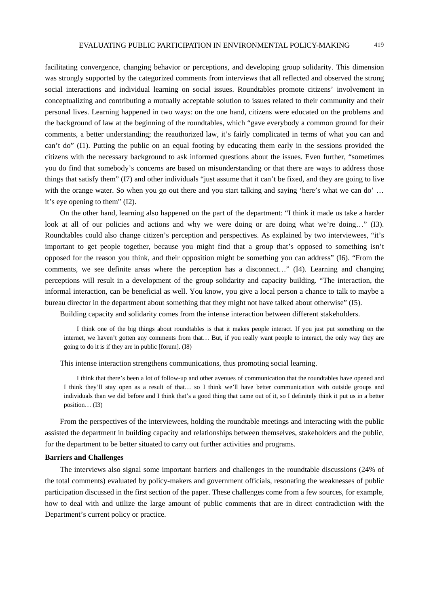facilitating convergence, changing behavior or perceptions, and developing group solidarity. This dimension was strongly supported by the categorized comments from interviews that all reflected and observed the strong social interactions and individual learning on social issues. Roundtables promote citizens' involvement in conceptualizing and contributing a mutually acceptable solution to issues related to their community and their personal lives. Learning happened in two ways: on the one hand, citizens were educated on the problems and the background of law at the beginning of the roundtables, which "gave everybody a common ground for their comments, a better understanding; the reauthorized law, it's fairly complicated in terms of what you can and can't do" (I1). Putting the public on an equal footing by educating them early in the sessions provided the citizens with the necessary background to ask informed questions about the issues. Even further, "sometimes you do find that somebody's concerns are based on misunderstanding or that there are ways to address those things that satisfy them" (I7) and other individuals "just assume that it can't be fixed, and they are going to live with the orange water. So when you go out there and you start talking and saying 'here's what we can do' ... it's eye opening to them" (I2).

On the other hand, learning also happened on the part of the department: "I think it made us take a harder look at all of our policies and actions and why we were doing or are doing what we're doing..." (I3). Roundtables could also change citizen's perception and perspectives. As explained by two interviewees, "it's important to get people together, because you might find that a group that's opposed to something isn't opposed for the reason you think, and their opposition might be something you can address" (I6). "From the comments, we see definite areas where the perception has a disconnect…" (I4). Learning and changing perceptions will result in a development of the group solidarity and capacity building. "The interaction, the informal interaction, can be beneficial as well. You know, you give a local person a chance to talk to maybe a bureau director in the department about something that they might not have talked about otherwise" (I5).

Building capacity and solidarity comes from the intense interaction between different stakeholders.

I think one of the big things about roundtables is that it makes people interact. If you just put something on the internet, we haven't gotten any comments from that… But, if you really want people to interact, the only way they are going to do it is if they are in public [forum]. (I8)

This intense interaction strengthens communications, thus promoting social learning.

I think that there's been a lot of follow-up and other avenues of communication that the roundtables have opened and I think they'll stay open as a result of that… so I think we'll have better communication with outside groups and individuals than we did before and I think that's a good thing that came out of it, so I definitely think it put us in a better position… (I3)

From the perspectives of the interviewees, holding the roundtable meetings and interacting with the public assisted the department in building capacity and relationships between themselves, stakeholders and the public, for the department to be better situated to carry out further activities and programs.

#### **Barriers and Challenges**

The interviews also signal some important barriers and challenges in the roundtable discussions (24% of the total comments) evaluated by policy-makers and government officials, resonating the weaknesses of public participation discussed in the first section of the paper. These challenges come from a few sources, for example, how to deal with and utilize the large amount of public comments that are in direct contradiction with the Department's current policy or practice.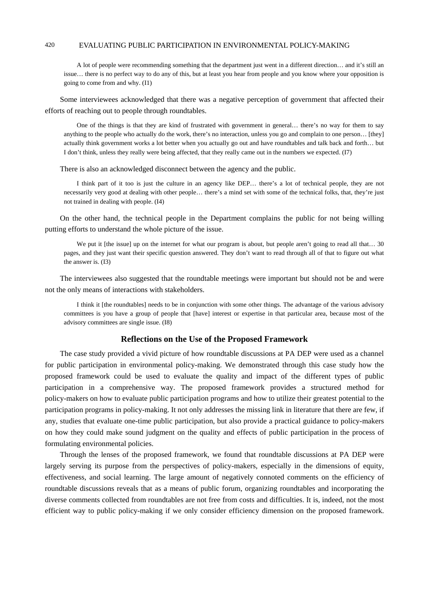A lot of people were recommending something that the department just went in a different direction… and it's still an issue… there is no perfect way to do any of this, but at least you hear from people and you know where your opposition is going to come from and why. (I1)

Some interviewees acknowledged that there was a negative perception of government that affected their efforts of reaching out to people through roundtables.

One of the things is that they are kind of frustrated with government in general… there's no way for them to say anything to the people who actually do the work, there's no interaction, unless you go and complain to one person… [they] actually think government works a lot better when you actually go out and have roundtables and talk back and forth… but I don't think, unless they really were being affected, that they really came out in the numbers we expected. (I7)

There is also an acknowledged disconnect between the agency and the public.

I think part of it too is just the culture in an agency like DEP… there's a lot of technical people, they are not necessarily very good at dealing with other people… there's a mind set with some of the technical folks, that, they're just not trained in dealing with people. (I4)

On the other hand, the technical people in the Department complains the public for not being willing putting efforts to understand the whole picture of the issue.

We put it [the issue] up on the internet for what our program is about, but people aren't going to read all that... 30 pages, and they just want their specific question answered. They don't want to read through all of that to figure out what the answer is. (I3)

The interviewees also suggested that the roundtable meetings were important but should not be and were not the only means of interactions with stakeholders.

I think it [the roundtables] needs to be in conjunction with some other things. The advantage of the various advisory committees is you have a group of people that [have] interest or expertise in that particular area, because most of the advisory committees are single issue. (I8)

#### **Reflections on the Use of the Proposed Framework**

The case study provided a vivid picture of how roundtable discussions at PA DEP were used as a channel for public participation in environmental policy-making. We demonstrated through this case study how the proposed framework could be used to evaluate the quality and impact of the different types of public participation in a comprehensive way. The proposed framework provides a structured method for policy-makers on how to evaluate public participation programs and how to utilize their greatest potential to the participation programs in policy-making. It not only addresses the missing link in literature that there are few, if any, studies that evaluate one-time public participation, but also provide a practical guidance to policy-makers on how they could make sound judgment on the quality and effects of public participation in the process of formulating environmental policies.

Through the lenses of the proposed framework, we found that roundtable discussions at PA DEP were largely serving its purpose from the perspectives of policy-makers, especially in the dimensions of equity, effectiveness, and social learning. The large amount of negatively connoted comments on the efficiency of roundtable discussions reveals that as a means of public forum, organizing roundtables and incorporating the diverse comments collected from roundtables are not free from costs and difficulties. It is, indeed, not the most efficient way to public policy-making if we only consider efficiency dimension on the proposed framework.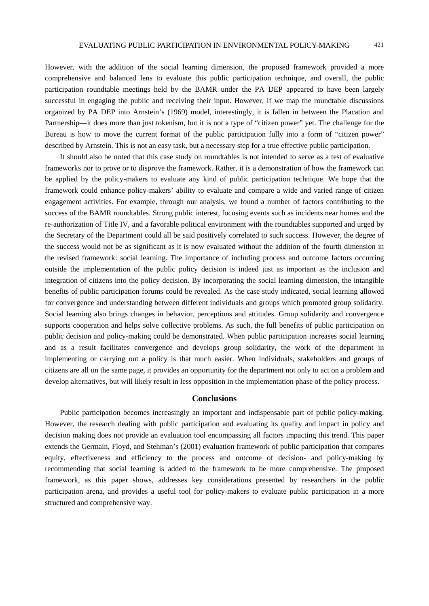However, with the addition of the social learning dimension, the proposed framework provided a more comprehensive and balanced lens to evaluate this public participation technique, and overall, the public participation roundtable meetings held by the BAMR under the PA DEP appeared to have been largely successful in engaging the public and receiving their input. However, if we map the roundtable discussions organized by PA DEP into Arnstein's (1969) model, interestingly, it is fallen in between the Placation and Partnership—it does more than just tokenism, but it is not a type of "citizen power" yet. The challenge for the Bureau is how to move the current format of the public participation fully into a form of "citizen power" described by Arnstein. This is not an easy task, but a necessary step for a true effective public participation.

It should also be noted that this case study on roundtables is not intended to serve as a test of evaluative frameworks nor to prove or to disprove the framework. Rather, it is a demonstration of how the framework can be applied by the policy-makers to evaluate any kind of public participation technique. We hope that the framework could enhance policy-makers' ability to evaluate and compare a wide and varied range of citizen engagement activities. For example, through our analysis, we found a number of factors contributing to the success of the BAMR roundtables. Strong public interest, focusing events such as incidents near homes and the re-authorization of Title IV, and a favorable political environment with the roundtables supported and urged by the Secretary of the Department could all be said positively correlated to such success. However, the degree of the success would not be as significant as it is now evaluated without the addition of the fourth dimension in the revised framework: social learning. The importance of including process and outcome factors occurring outside the implementation of the public policy decision is indeed just as important as the inclusion and integration of citizens into the policy decision. By incorporating the social learning dimension, the intangible benefits of public participation forums could be revealed. As the case study indicated, social learning allowed for convergence and understanding between different individuals and groups which promoted group solidarity. Social learning also brings changes in behavior, perceptions and attitudes. Group solidarity and convergence supports cooperation and helps solve collective problems. As such, the full benefits of public participation on public decision and policy-making could be demonstrated. When public participation increases social learning and as a result facilitates convergence and develops group solidarity, the work of the department in implementing or carrying out a policy is that much easier. When individuals, stakeholders and groups of citizens are all on the same page, it provides an opportunity for the department not only to act on a problem and develop alternatives, but will likely result in less opposition in the implementation phase of the policy process.

#### **Conclusions**

Public participation becomes increasingly an important and indispensable part of public policy-making. However, the research dealing with public participation and evaluating its quality and impact in policy and decision making does not provide an evaluation tool encompassing all factors impacting this trend. This paper extends the Germain, Floyd, and Stehman's (2001) evaluation framework of public participation that compares equity, effectiveness and efficiency to the process and outcome of decision- and policy-making by recommending that social learning is added to the framework to be more comprehensive. The proposed framework, as this paper shows, addresses key considerations presented by researchers in the public participation arena, and provides a useful tool for policy-makers to evaluate public participation in a more structured and comprehensive way.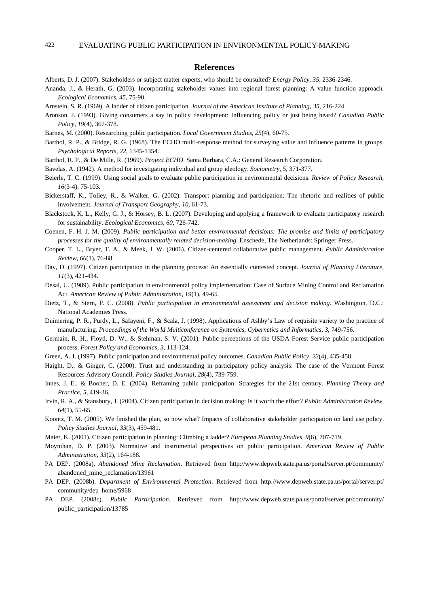#### **References**

- Alberts, D. J. (2007). Stakeholders or subject matter experts, who should be consulted? *Energy Policy, 35*, 2336-2346.
- Ananda, J., & Herath, G. (2003). Incorporating stakeholder values into regional forest planning: A value function approach. *Ecological Economics, 45*, 75-90.
- Arnstein, S. R. (1969). A ladder of citizen participation. *Journal of the American Institute of Planning, 35*, 216-224.
- Aronson, J. (1993). Giving consumers a say in policy development: Influencing policy or just being heard? *Canadian Public Policy, 19*(4), 367-378.
- Barnes, M. (2000). Researching public participation. *Local Government Studies, 25*(4), 60-75.
- Barthol, R. P., & Bridge, R. G. (1968). The ECHO multi-response method for surveying value and influence patterns in groups. *Psychological Reports, 22*, 1345-1354.
- Barthol, R. P., & De Mille, R. (1969). *Project ECHO*. Santa Barbara, C.A.: General Research Corporation.
- Bavelas, A. (1942). A method for investigating individual and group ideology. *Sociometry, 5*, 371-377.
- Beierle, T. C. (1999). Using social goals to evaluate public participation in environmental decisions. *Review of Policy Research, 16*(3-4), 75-103.
- Bickerstaff, K., Tolley, R., & Walker, G. (2002). Transport planning and participation: The rhetoric and realities of public involvement. *Journal of Transport Geography, 10*, 61-73.
- Blackstock, K. L., Kelly, G. J., & Horsey, B. L. (2007). Developing and applying a framework to evaluate participatory research for sustainability. *Ecological Economics, 60*, 726-742.
- Coenen, F. H. J. M. (2009). *Public participation and better environmental decisions: The promise and limits of participatory processes for the quality of environmentally related decision-making*. Enschede, The Netherlands: Springer Press.
- Cooper, T. L., Bryer, T. A., & Meek, J. W. (2006). Citizen-centered collaborative public management. *Public Administration Review, 66*(1), 76-88.
- Day, D. (1997). Citizen participation in the planning process: An essentially contested concept. *Journal of Planning Literature, 11*(3), 421-434.
- Desai, U. (1989). Public participation in environmental policy implementation: Case of Surface Mining Control and Reclamation Act. *American Review of Public Administration, 19*(1), 49-65.
- Dietz, T., & Stern, P. C. (2008). *Public participation in environmental assessment and decision making*. Washington, D.C.: National Academies Press.
- Duimering, P. R., Purdy, L., Safayeni, F., & Scala, J. (1998). Applications of Ashby's Law of requisite variety to the practice of manufacturing. *Proceedings of the World Multiconference on Systemics, Cybernetics and Informatics, 3*, 749-756.
- Germain, R. H., Floyd, D. W., & Stehman, S. V. (2001). Public perceptions of the USDA Forest Service public participation process. *Forest Policy and Economics, 3*, 113-124.
- Green, A. J. (1997). Public participation and environmental policy outcomes. *Canadian Public Policy, 23*(4), 435-458.
- Haight, D., & Ginger, C. (2000). Trust and understanding in participatory policy analysis: The case of the Vermont Forest Resources Advisory Council. *Policy Studies Journal, 28*(4), 739-759.
- Innes, J. E., & Booher, D. E. (2004). Reframing public participation: Strategies for the 21st century. *Planning Theory and Practice, 5*, 419-36.
- Irvin, R. A., & Stansbury, J. (2004). Citizen participation in decision making: Is it worth the effort? *Public Administration Review, 64*(1), 55-65.
- Koontz, T. M. (2005). We finished the plan, so now what? Impacts of collaborative stakeholder participation on land use policy. *Policy Studies Journal, 33*(3), 459-481.
- Maier, K. (2001). Citizen participation in planning: Climbing a ladder? *European Planning Studies, 9*(6), 707-719.
- Moynihan, D. P. (2003). Normative and instrumental perspectives on public participation. *American Review of Public Administration, 33*(2), 164-188.
- PA DEP. (2008a). *Abandoned Mine Reclamation*. Retrieved from http://www.depweb.state.pa.us/portal/server.pt/community/ abandoned\_mine\_reclamation/13961
- PA DEP. (2008b). *Department of Environmental Protection*. Retrieved from http://www.depweb.state.pa.us/portal/server.pt/ community/dep\_home/5968
- PA DEP. (2008c). *Public Participation.* Retrieved from http://www.depweb.state.pa.us/portal/server.pt/community/ public\_participation/13785